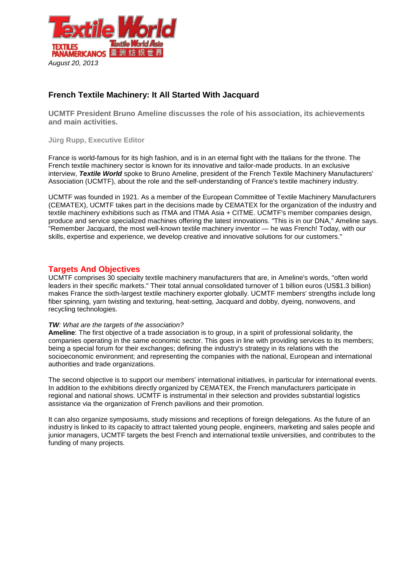

## **French Textile Machinery: It All Started With Jacquard**

**UCMTF President Bruno Ameline discusses the role of his association, its achievements and main activities.**

**Jürg Rupp, Executive Editor**

France is world-famous for its high fashion, and is in an eternal fight with the Italians for the throne. The French textile machinery sector is known for its innovative and tailor-made products. In an exclusive interview, *Textile World* spoke to Bruno Ameline, president of the French Textile Machinery Manufacturers' Association (UCMTF), about the role and the self-understanding of France's textile machinery industry.

UCMTF was founded in 1921. As a member of the European Committee of Textile Machinery Manufacturers (CEMATEX), UCMTF takes part in the decisions made by CEMATEX for the organization of the industry and textile machinery exhibitions such as ITMA and ITMA Asia + CITME. UCMTF's member companies design, produce and service specialized machines offering the latest innovations. "This is in our DNA," Ameline says. "Remember Jacquard, the most well-known textile machinery inventor — he was French! Today, with our skills, expertise and experience, we develop creative and innovative solutions for our customers."

## **Targets And Objectives**

UCMTF comprises 30 specialty textile machinery manufacturers that are, in Ameline's words, "often world leaders in their specific markets." Their total annual consolidated turnover of 1 billion euros (US\$1.3 billion) makes France the sixth-largest textile machinery exporter globally. UCMTF members' strengths include long fiber spinning, yarn twisting and texturing, heat-setting, Jacquard and dobby, dyeing, nonwovens, and recycling technologies.

## *TW: What are the targets of the association?*

**Ameline**: The first objective of a trade association is to group, in a spirit of professional solidarity, the companies operating in the same economic sector. This goes in line with providing services to its members; being a special forum for their exchanges; defining the industry's strategy in its relations with the socioeconomic environment; and representing the companies with the national, European and international authorities and trade organizations.

The second objective is to support our members' international initiatives, in particular for international events. In addition to the exhibitions directly organized by CEMATEX, the French manufacturers participate in regional and national shows. UCMTF is instrumental in their selection and provides substantial logistics assistance via the organization of French pavilions and their promotion.

It can also organize symposiums, study missions and receptions of foreign delegations. As the future of an industry is linked to its capacity to attract talented young people, engineers, marketing and sales people and junior managers, UCMTF targets the best French and international textile universities, and contributes to the funding of many projects.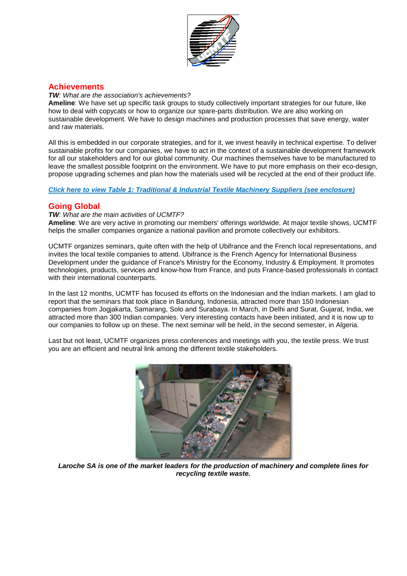

## **Achievements**

#### *TW: What are the association's achievements?*

**Ameline**: We have set up specific task groups to study collectively important strategies for our future, like how to deal with copycats or how to organize our spare-parts distribution. We are also working on sustainable development. We have to design machines and production processes that save energy, water and raw materials.

All this is embedded in our corporate strategies, and for it, we invest heavily in technical expertise. To deliver sustainable profits for our companies, we have to act in the context of a sustainable development framework for all our stakeholders and for our global community. Our machines themselves have to be manufactured to leave the smallest possible footprint on the environment. We have to put more emphasis on their eco-design, propose upgrading schemes and plan how the materials used will be recycled at the end of their product life.

## *[Click here to view Table 1: Traditional & Industrial Textile Machinery Suppliers](http://textileworld.com/Articles/2013/August/Web_issue/files/Frenchchart.pdf) (see enclosure)*

## **Going Global**

## *TW: What are the main activities of UCMTF?*

**Ameline**: We are very active in promoting our members' offerings worldwide. At major textile shows, UCMTF helps the smaller companies organize a national pavilion and promote collectively our exhibitors.

UCMTF organizes seminars, quite often with the help of Ubifrance and the French local representations, and invites the local textile companies to attend. Ubifrance is the French Agency for International Business Development under the guidance of France's Ministry for the Economy, Industry & Employment. It promotes technologies, products, services and know-how from France, and puts France-based professionals in contact with their international counterparts.

In the last 12 months, UCMTF has focused its efforts on the Indonesian and the Indian markets. I am glad to report that the seminars that took place in Bandung, Indonesia, attracted more than 150 Indonesian companies from Jogjakarta, Samarang, Solo and Surabaya. In March, in Delhi and Surat, Gujarat, India, we attracted more than 300 Indian companies. Very interesting contacts have been initiated, and it is now up to our companies to follow up on these. The next seminar will be held, in the second semester, in Algeria.

Last but not least, UCMTF organizes press conferences and meetings with you, the textile press. We trust you are an efficient and neutral link among the different textile stakeholders.



*Laroche SA is one of the market leaders for the production of machinery and complete lines for recycling textile waste.*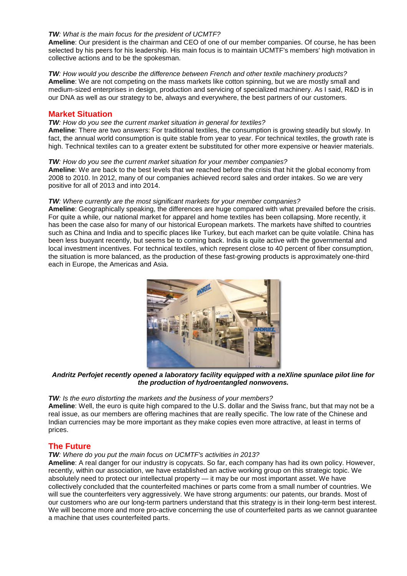## *TW: What is the main focus for the president of UCMTF?*

**Ameline**: Our president is the chairman and CEO of one of our member companies. Of course, he has been selected by his peers for his leadership. His main focus is to maintain UCMTF's members' high motivation in collective actions and to be the spokesman.

#### *TW: How would you describe the difference between French and other textile machinery products?* **Ameline**: We are not competing on the mass markets like cotton spinning, but we are mostly small and medium-sized enterprises in design, production and servicing of specialized machinery. As I said, R&D is in our DNA as well as our strategy to be, always and everywhere, the best partners of our customers.

## **Market Situation**

#### *TW: How do you see the current market situation in general for textiles?*

**Ameline**: There are two answers: For traditional textiles, the consumption is growing steadily but slowly. In fact, the annual world consumption is quite stable from year to year. For technical textiles, the growth rate is high. Technical textiles can to a greater extent be substituted for other more expensive or heavier materials.

#### *TW: How do you see the current market situation for your member companies?*

**Ameline**: We are back to the best levels that we reached before the crisis that hit the global economy from 2008 to 2010. In 2012, many of our companies achieved record sales and order intakes. So we are very positive for all of 2013 and into 2014.

#### *TW: Where currently are the most significant markets for your member companies?*

**Ameline**: Geographically speaking, the differences are huge compared with what prevailed before the crisis. For quite a while, our national market for apparel and home textiles has been collapsing. More recently, it has been the case also for many of our historical European markets. The markets have shifted to countries such as China and India and to specific places like Turkey, but each market can be quite volatile. China has been less buoyant recently, but seems be to coming back. India is quite active with the governmental and local investment incentives. For technical textiles, which represent close to 40 percent of fiber consumption, the situation is more balanced, as the production of these fast-growing products is approximately one-third each in Europe, the Americas and Asia.



*Andritz Perfojet recently opened a laboratory facility equipped with a neXline spunlace pilot line for the production of hydroentangled nonwovens.*

#### *TW: Is the euro distorting the markets and the business of your members?*

**Ameline**: Well, the euro is quite high compared to the U.S. dollar and the Swiss franc, but that may not be a real issue, as our members are offering machines that are really specific. The low rate of the Chinese and Indian currencies may be more important as they make copies even more attractive, at least in terms of prices.

## **The Future**

## *TW: Where do you put the main focus on UCMTF's activities in 2013?*

**Ameline**: A real danger for our industry is copycats. So far, each company has had its own policy. However, recently, within our association, we have established an active working group on this strategic topic. We absolutely need to protect our intellectual property — it may be our most important asset. We have collectively concluded that the counterfeited machines or parts come from a small number of countries. We will sue the counterfeiters very aggressively. We have strong arguments: our patents, our brands. Most of our customers who are our long-term partners understand that this strategy is in their long-term best interest. We will become more and more pro-active concerning the use of counterfeited parts as we cannot guarantee a machine that uses counterfeited parts.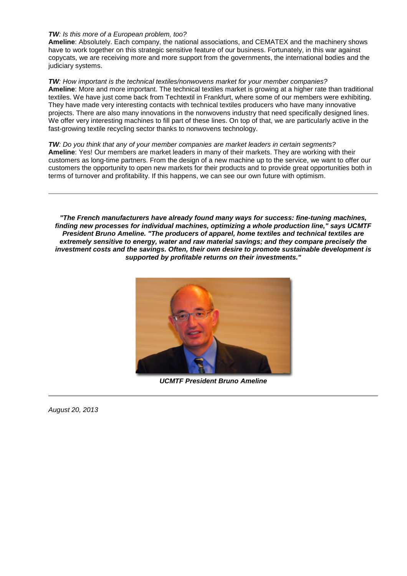## *TW: Is this more of a European problem, too?*

**Ameline**: Absolutely. Each company, the national associations, and CEMATEX and the machinery shows have to work together on this strategic sensitive feature of our business. Fortunately, in this war against copycats, we are receiving more and more support from the governments, the international bodies and the judiciary systems.

*TW: How important is the technical textiles/nonwovens market for your member companies?* **Ameline**: More and more important. The technical textiles market is growing at a higher rate than traditional textiles. We have just come back from Techtextil in Frankfurt, where some of our members were exhibiting. They have made very interesting contacts with technical textiles producers who have many innovative projects. There are also many innovations in the nonwovens industry that need specifically designed lines. We offer very interesting machines to fill part of these lines. On top of that, we are particularly active in the fast-growing textile recycling sector thanks to nonwovens technology.

## *TW: Do you think that any of your member companies are market leaders in certain segments?*

**Ameline**: Yes! Our members are market leaders in many of their markets. They are working with their customers as long-time partners. From the design of a new machine up to the service, we want to offer our customers the opportunity to open new markets for their products and to provide great opportunities both in terms of turnover and profitability. If this happens, we can see our own future with optimism.

*"The French manufacturers have already found many ways for success: fine-tuning machines, finding new processes for individual machines, optimizing a whole production line," says UCMTF President Bruno Ameline. "The producers of apparel, home textiles and technical textiles are extremely sensitive to energy, water and raw material savings; and they compare precisely the investment costs and the savings. Often, their own desire to promote sustainable development is supported by profitable returns on their investments."*



*UCMTF President Bruno Ameline*

*August 20, 2013*